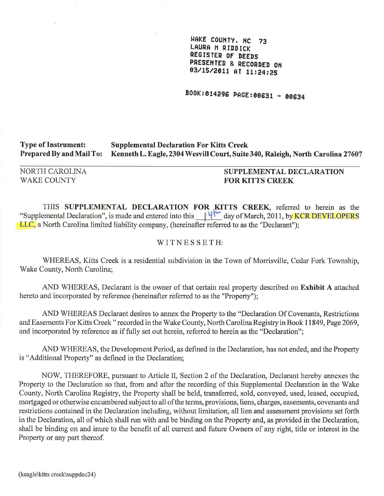WAKE COUNTY, NC 73 LAURA M RIDDICK REGISTER OF DEEDS PRESENTED & RECORDED OH 0311512811 AT 11:24:25

BOOK:014296 PAGE:00631 - 80634

#### Type of Instrument: Prepared By and Mail To: Supplemental Declaration For Kitts Creek Kenneth L. Eagle, 2304 Wesvill Court, Suite 340, Raleigh, North Carolina 27607

NORTH CAROLINA WAKE COUNTY

 $\mathcal{L}$ 

# SUPPLEMENTAL DECLARATION FOR KITTS CREEK

THIS SUPPLEMENTAL DECLARATION FOR KITTS CREEK, referred to herein as the "Supplemental Declaration", is made and entered into this  $14^{\sim}$  day of March, 2011, by KCR DEVELOPERS LLC, a North Carolina limited liability company, (hereinafter referred to as the "Declarant");

### W IT NE S S E T H:

WHEREAS, Kitts Creek is a residential subdivision in the Town of Morrisville, Cedar Fork Township, Wake County, North Carolina;

AND WHEREAS, Declarant is the owner of that certain real property described on Exhibit A attached hereto and incorporated by reference (hereinafter referred to as the "Property");

AND WHEREAS Declarant desires to annex the Property to the "Declaration Of Covenants, Restrictions and Easements For Kitts Creek" recorded in the Wake County, North Carolina Registry in Book 11849, Page 2069, and incorporated by reference as if fully set out herein, referred to herein as the "Declaration";

AND WHEREAS, the Development Period, as defined in the Declaration, has not ended, and the Property is "Additional Property" as defined in the Declaration;

NOW, THEREFORE, pursuant to Article II, Section 2 of the Declaration, Declarant hereby annexes the Property to the Declaration so that, from and after the recording of this Supplemental Declaration in the Wake County, North Carolina Registry, the Property shall be held, transferred, sold, conveyed, used, leased, occupied, mortgaged or otherwise encumbered subject to all of the terms, provisions, liens, charges, easements, covenants and restrictions contained in the Declaration including, without limitation, all lien and assessment provisions set forth in the Declaration, all of which shall run with and be binding on the Property and, as provided in the Declaration, shall be binding on and inure to the benefit of all current and future Owners of any right, title or interest in the Property or any part thereof.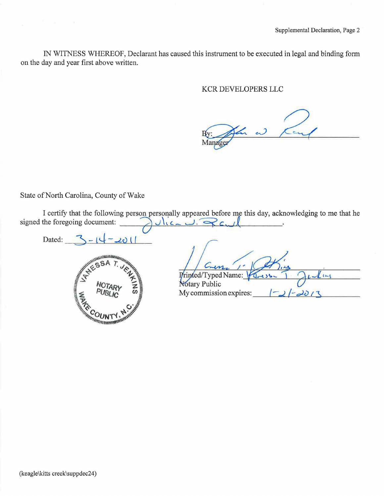IN WITNESS WHEREOF, Declarant has caused this instrument to be executed in legal and binding form on the day and year first above written.

### KCR DEVELOPERS LLC

a  $\epsilon$ Manager

State of North Carolina, County of Wake

I certify that the following person personally appeared before me this day, acknowledging to me that he Vic- U. Rayl signed the foregoing document:

Dated:



 $201$ 

| Printed/Typed Name:    |
|------------------------|
| Notary Public          |
| My commission expires: |